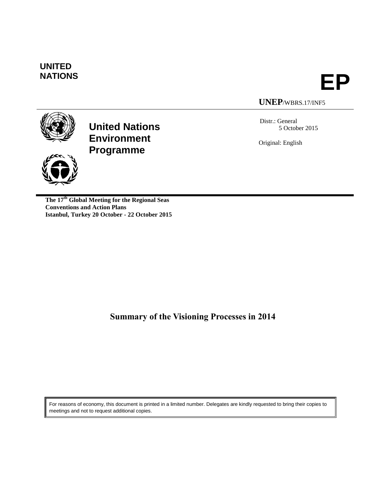# **UNITED**



**UNEP**/WBRS.17/INF5



**United Nations Environment Programme**



**The 17th Global Meeting for the Regional Seas Conventions and Action Plans Istanbul, Turkey 20 October - 22 October 2015**

Distr.: General 5 October 2015

Original: English

**Summary of the Visioning Processes in 2014**

For reasons of economy, this document is printed in a limited number. Delegates are kindly requested to bring their copies to meetings and not to request additional copies.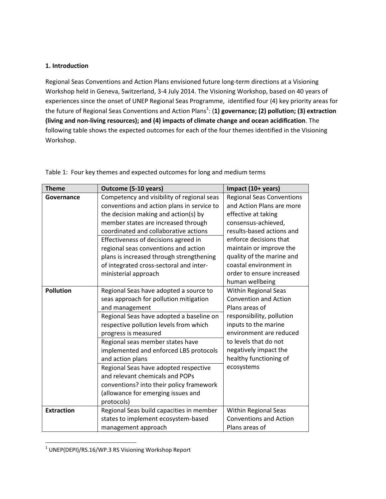#### **1. Introduction**

Regional Seas Conventions and Action Plans envisioned future long-term directions at a Visioning Workshop held in Geneva, Switzerland, 3-4 July 2014. The Visioning Workshop, based on 40 years of experiences since the onset of UNEP Regional Seas Programme, identified four (4) key priority areas for the future of Regional Seas Conventions and Action Plans<sup>1</sup>: (1) governance; (2) pollution; (3) extraction **(living and non-living resources); and (4) impacts of climate change and ocean acidification**. The following table shows the expected outcomes for each of the four themes identified in the Visioning Workshop.

| <b>Theme</b>      | Outcome (5-10 years)                       | Impact (10+ years)               |
|-------------------|--------------------------------------------|----------------------------------|
| Governance        | Competency and visibility of regional seas | <b>Regional Seas Conventions</b> |
|                   | conventions and action plans in service to | and Action Plans are more        |
|                   | the decision making and action(s) by       | effective at taking              |
|                   | member states are increased through        | consensus-achieved,              |
|                   | coordinated and collaborative actions      | results-based actions and        |
|                   | Effectiveness of decisions agreed in       | enforce decisions that           |
|                   | regional seas conventions and action       | maintain or improve the          |
|                   | plans is increased through strengthening   | quality of the marine and        |
|                   | of integrated cross-sectoral and inter-    | coastal environment in           |
|                   | ministerial approach                       | order to ensure increased        |
|                   |                                            | human wellbeing                  |
| <b>Pollution</b>  | Regional Seas have adopted a source to     | <b>Within Regional Seas</b>      |
|                   | seas approach for pollution mitigation     | <b>Convention and Action</b>     |
|                   | and management                             | Plans areas of                   |
|                   | Regional Seas have adopted a baseline on   | responsibility, pollution        |
|                   | respective pollution levels from which     | inputs to the marine             |
|                   | progress is measured                       | environment are reduced          |
|                   | Regional seas member states have           | to levels that do not            |
|                   | implemented and enforced LBS protocols     | negatively impact the            |
|                   | and action plans                           | healthy functioning of           |
|                   | Regional Seas have adopted respective      | ecosystems                       |
|                   | and relevant chemicals and POPs            |                                  |
|                   | conventions? into their policy framework   |                                  |
|                   | (allowance for emerging issues and         |                                  |
|                   | protocols)                                 |                                  |
| <b>Extraction</b> | Regional Seas build capacities in member   | <b>Within Regional Seas</b>      |
|                   | states to implement ecosystem-based        | <b>Conventions and Action</b>    |
|                   | management approach                        | Plans areas of                   |

Table 1: Four key themes and expected outcomes for long and medium terms

 $\overline{\phantom{a}}$  $1$  UNEP(DEPI)/RS.16/WP.3 RS Visioning Workshop Report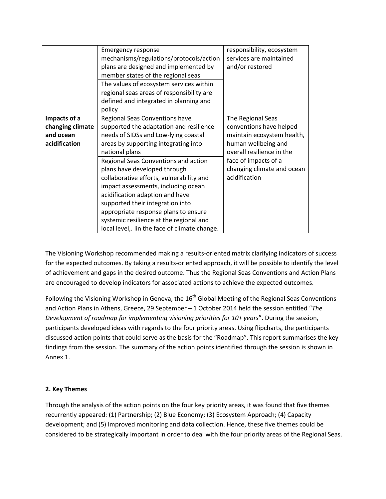|                  | <b>Emergency response</b>                     | responsibility, ecosystem  |
|------------------|-----------------------------------------------|----------------------------|
|                  | mechanisms/regulations/protocols/action       | services are maintained    |
|                  | plans are designed and implemented by         | and/or restored            |
|                  | member states of the regional seas            |                            |
|                  | The values of ecosystem services within       |                            |
|                  | regional seas areas of responsibility are     |                            |
|                  | defined and integrated in planning and        |                            |
|                  | policy                                        |                            |
| Impacts of a     | Regional Seas Conventions have                | The Regional Seas          |
| changing climate | supported the adaptation and resilience       | conventions have helped    |
| and ocean        | needs of SIDSs and Low-lying coastal          | maintain ecosystem health, |
| acidification    | areas by supporting integrating into          | human wellbeing and        |
|                  | national plans                                | overall resilience in the  |
|                  | Regional Seas Conventions and action          | face of impacts of a       |
|                  | plans have developed through                  | changing climate and ocean |
|                  | collaborative efforts, vulnerability and      | acidification              |
|                  | impact assessments, including ocean           |                            |
|                  | acidification adaption and have               |                            |
|                  | supported their integration into              |                            |
|                  | appropriate response plans to ensure          |                            |
|                  | systemic resilience at the regional and       |                            |
|                  | local level,. Iin the face of climate change. |                            |

The Visioning Workshop recommended making a results-oriented matrix clarifying indicators of success for the expected outcomes. By taking a results-oriented approach, it will be possible to identify the level of achievement and gaps in the desired outcome. Thus the Regional Seas Conventions and Action Plans are encouraged to develop indicators for associated actions to achieve the expected outcomes.

Following the Visioning Workshop in Geneva, the  $16<sup>th</sup>$  Global Meeting of the Regional Seas Conventions and Action Plans in Athens, Greece, 29 September – 1 October 2014 held the session entitled "*The Development of roadmap for implementing visioning priorities for 10+ years*". During the session, participants developed ideas with regards to the four priority areas. Using flipcharts, the participants discussed action points that could serve as the basis for the "Roadmap". This report summarises the key findings from the session. The summary of the action points identified through the session is shown in Annex 1.

#### **2. Key Themes**

Through the analysis of the action points on the four key priority areas, it was found that five themes recurrently appeared: (1) Partnership; (2) Blue Economy; (3) Ecosystem Approach; (4) Capacity development; and (5) Improved monitoring and data collection. Hence, these five themes could be considered to be strategically important in order to deal with the four priority areas of the Regional Seas.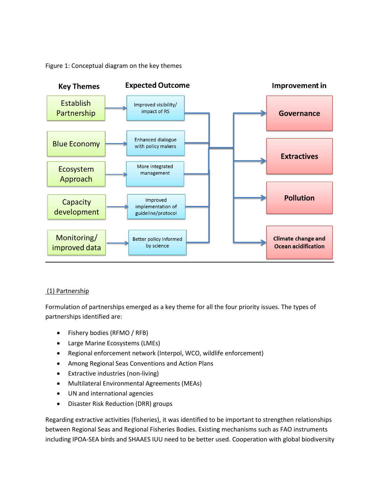Figure 1: Conceptual diagram on the key themes



#### (1) Partnership

Formulation of partnerships emerged as a key theme for all the four priority issues. The types of partnerships identified are:

- Fishery bodies (RFMO / RFB)
- Large Marine Ecosystems (LMEs)
- Regional enforcement network (Interpol, WCO, wildlife enforcement)
- Among Regional Seas Conventions and Action Plans
- Extractive industries (non-living)
- Multilateral Environmental Agreements (MEAs)
- UN and international agencies
- Disaster Risk Reduction (DRR) groups

Regarding extractive activities (fisheries), it was identified to be important to strengthen relationships between Regional Seas and Regional Fisheries Bodies. Existing mechanisms such as FAO instruments including IPOA-SEA birds and SHAAES IUU need to be better used. Cooperation with global biodiversity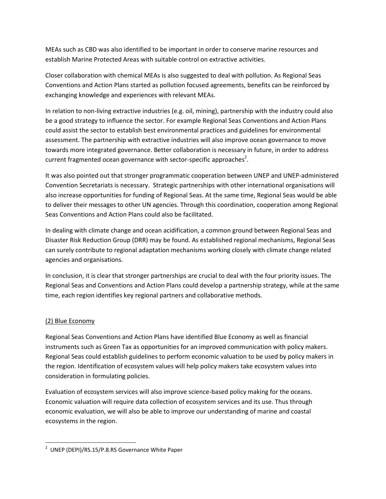MEAs such as CBD was also identified to be important in order to conserve marine resources and establish Marine Protected Areas with suitable control on extractive activities.

Closer collaboration with chemical MEAs is also suggested to deal with pollution. As Regional Seas Conventions and Action Plans started as pollution focused agreements, benefits can be reinforced by exchanging knowledge and experiences with relevant MEAs.

In relation to non-living extractive industries (e.g. oil, mining), partnership with the industry could also be a good strategy to influence the sector. For example Regional Seas Conventions and Action Plans could assist the sector to establish best environmental practices and guidelines for environmental assessment. The partnership with extractive industries will also improve ocean governance to move towards more integrated governance. Better collaboration is necessary in future, in order to address current fragmented ocean governance with sector-specific approaches<sup>2</sup>.

It was also pointed out that stronger programmatic cooperation between UNEP and UNEP-administered Convention Secretariats is necessary. Strategic partnerships with other international organisations will also increase opportunities for funding of Regional Seas. At the same time, Regional Seas would be able to deliver their messages to other UN agencies. Through this coordination, cooperation among Regional Seas Conventions and Action Plans could also be facilitated.

In dealing with climate change and ocean acidification, a common ground between Regional Seas and Disaster Risk Reduction Group (DRR) may be found. As established regional mechanisms, Regional Seas can surely contribute to regional adaptation mechanisms working closely with climate change related agencies and organisations.

In conclusion, it is clear that stronger partnerships are crucial to deal with the four priority issues. The Regional Seas and Conventions and Action Plans could develop a partnership strategy, while at the same time, each region identifies key regional partners and collaborative methods.

### (2) Blue Economy

 $\overline{\phantom{a}}$ 

Regional Seas Conventions and Action Plans have identified Blue Economy as well as financial instruments such as Green Tax as opportunities for an improved communication with policy makers. Regional Seas could establish guidelines to perform economic valuation to be used by policy makers in the region. Identification of ecosystem values will help policy makers take ecosystem values into consideration in formulating policies.

Evaluation of ecosystem services will also improve science-based policy making for the oceans. Economic valuation will require data collection of ecosystem services and its use. Thus through economic evaluation, we will also be able to improve our understanding of marine and coastal ecosystems in the region.

<sup>&</sup>lt;sup>2</sup> UNEP (DEPI)/RS.15/P.8.RS Governance White Paper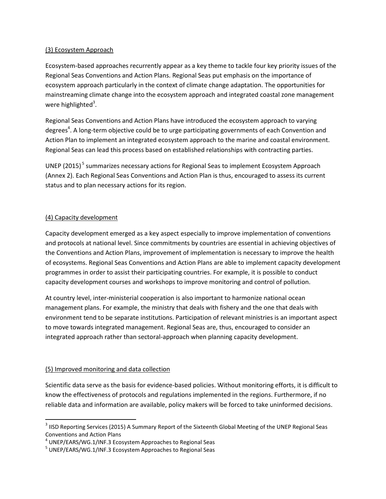#### (3) Ecosystem Approach

Ecosystem-based approaches recurrently appear as a key theme to tackle four key priority issues of the Regional Seas Conventions and Action Plans. Regional Seas put emphasis on the importance of ecosystem approach particularly in the context of climate change adaptation. The opportunities for mainstreaming climate change into the ecosystem approach and integrated coastal zone management were highlighted<sup>3</sup>.

Regional Seas Conventions and Action Plans have introduced the ecosystem approach to varying degrees<sup>4</sup>. A long-term objective could be to urge participating governments of each Convention and Action Plan to implement an integrated ecosystem approach to the marine and coastal environment. Regional Seas can lead this process based on established relationships with contracting parties.

UNEP (2015)<sup>5</sup> summarizes necessary actions for Regional Seas to implement Ecosystem Approach (Annex 2). Each Regional Seas Conventions and Action Plan is thus, encouraged to assess its current status and to plan necessary actions for its region.

#### (4) Capacity development

Capacity development emerged as a key aspect especially to improve implementation of conventions and protocols at national level. Since commitments by countries are essential in achieving objectives of the Conventions and Action Plans, improvement of implementation is necessary to improve the health of ecosystems. Regional Seas Conventions and Action Plans are able to implement capacity development programmes in order to assist their participating countries. For example, it is possible to conduct capacity development courses and workshops to improve monitoring and control of pollution.

At country level, inter-ministerial cooperation is also important to harmonize national ocean management plans. For example, the ministry that deals with fishery and the one that deals with environment tend to be separate institutions. Participation of relevant ministries is an important aspect to move towards integrated management. Regional Seas are, thus, encouraged to consider an integrated approach rather than sectoral-approach when planning capacity development.

#### (5) Improved monitoring and data collection

 $\overline{a}$ 

Scientific data serve as the basis for evidence-based policies. Without monitoring efforts, it is difficult to know the effectiveness of protocols and regulations implemented in the regions. Furthermore, if no reliable data and information are available, policy makers will be forced to take uninformed decisions.

 $^3$  IISD Reporting Services (2015) A Summary Report of the Sixteenth Global Meeting of the UNEP Regional Seas Conventions and Action Plans

<sup>&</sup>lt;sup>4</sup> UNEP/EARS/WG.1/INF.3 Ecosystem Approaches to Regional Seas

<sup>&</sup>lt;sup>5</sup> UNEP/EARS/WG.1/INF.3 Ecosystem Approaches to Regional Seas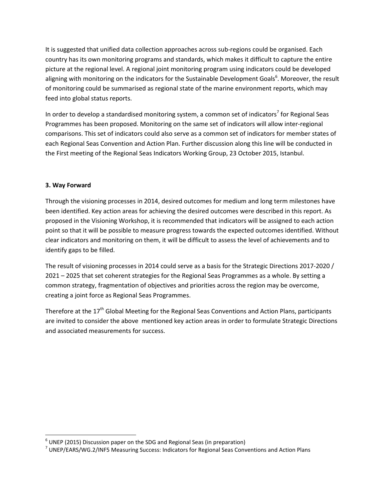It is suggested that unified data collection approaches across sub-regions could be organised. Each country has its own monitoring programs and standards, which makes it difficult to capture the entire picture at the regional level. A regional joint monitoring program using indicators could be developed aligning with monitoring on the indicators for the Sustainable Development Goals<sup>6</sup>. Moreover, the result of monitoring could be summarised as regional state of the marine environment reports, which may feed into global status reports.

In order to develop a standardised monitoring system, a common set of indicators<sup>7</sup> for Regional Seas Programmes has been proposed. Monitoring on the same set of indicators will allow inter-regional comparisons. This set of indicators could also serve as a common set of indicators for member states of each Regional Seas Convention and Action Plan. Further discussion along this line will be conducted in the First meeting of the Regional Seas Indicators Working Group, 23 October 2015, Istanbul.

### **3. Way Forward**

l

Through the visioning processes in 2014, desired outcomes for medium and long term milestones have been identified. Key action areas for achieving the desired outcomes were described in this report. As proposed in the Visioning Workshop, it is recommended that indicators will be assigned to each action point so that it will be possible to measure progress towards the expected outcomes identified. Without clear indicators and monitoring on them, it will be difficult to assess the level of achievements and to identify gaps to be filled.

The result of visioning processes in 2014 could serve as a basis for the Strategic Directions 2017-2020 / 2021 – 2025 that set coherent strategies for the Regional Seas Programmes as a whole. By setting a common strategy, fragmentation of objectives and priorities across the region may be overcome, creating a joint force as Regional Seas Programmes.

Therefore at the  $17<sup>th</sup>$  Global Meeting for the Regional Seas Conventions and Action Plans, participants are invited to consider the above mentioned key action areas in order to formulate Strategic Directions and associated measurements for success.

 $^6$  UNEP (2015) Discussion paper on the SDG and Regional Seas (in preparation)

<sup>&</sup>lt;sup>7</sup> UNEP/EARS/WG.2/INF5 Measuring Success: Indicators for Regional Seas Conventions and Action Plans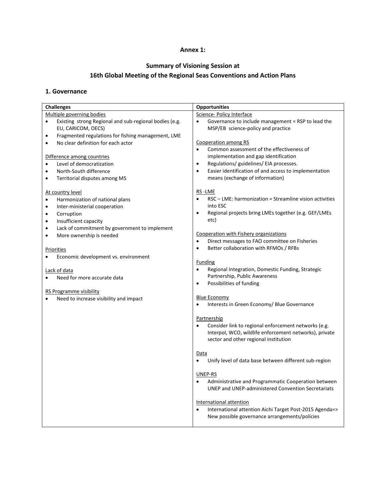#### **Annex 1:**

## **Summary of Visioning Session at 16th Global Meeting of the Regional Seas Conventions and Action Plans**

#### **1. Governance**

| <b>Challenges</b>                                                                         | <b>Opportunities</b>                                                                                  |  |
|-------------------------------------------------------------------------------------------|-------------------------------------------------------------------------------------------------------|--|
| Multiple governing bodies                                                                 | Science- Policy Interface                                                                             |  |
| Existing strong Regional and sub-regional bodies (e.g.<br>$\bullet$<br>EU, CARICOM, OECS) | $\bullet$<br>Governance to include management = RSP to lead the<br>MSP/EB science-policy and practice |  |
| Fragmented regulations for fishing management, LME<br>$\bullet$                           |                                                                                                       |  |
| No clear definition for each actor<br>$\bullet$                                           | Cooperation among RS                                                                                  |  |
|                                                                                           | Common assessment of the effectiveness of                                                             |  |
| Difference among countries                                                                | implementation and gap identification                                                                 |  |
| Level of democratization<br>$\bullet$                                                     | Regulations/ guidelines/ EIA processes.<br>$\bullet$                                                  |  |
| North-South difference<br>$\bullet$                                                       | Easier identification of and access to implementation<br>$\bullet$                                    |  |
| Territorial disputes among MS<br>$\bullet$                                                | means (exchange of information)                                                                       |  |
| At country level                                                                          | RS-LME                                                                                                |  |
| Harmonization of national plans<br>$\bullet$                                              | RSC – LME: harmonization = Streamline vision activities<br>$\bullet$                                  |  |
| Inter-ministerial cooperation<br>$\bullet$                                                | into ESC                                                                                              |  |
| Corruption<br>$\bullet$                                                                   | Regional projects bring LMEs together (e.g. GEF/LMEs<br>$\bullet$                                     |  |
| Insufficient capacity<br>$\bullet$                                                        | etc)                                                                                                  |  |
| Lack of commitment by government to implement<br>$\bullet$                                |                                                                                                       |  |
| More ownership is needed<br>$\bullet$                                                     | Cooperation with Fishery organizations                                                                |  |
|                                                                                           | Direct messages to FAO committee on Fisheries<br>$\bullet$                                            |  |
| <b>Priorities</b>                                                                         | Better collaboration with RFMOs / RFBs<br>$\bullet$                                                   |  |
| Economic development vs. environment<br>$\bullet$                                         |                                                                                                       |  |
|                                                                                           | <b>Funding</b>                                                                                        |  |
| Lack of data                                                                              | Regional Integration, Domestic Funding, Strategic<br>$\bullet$                                        |  |
| Need for more accurate data                                                               | Partnership, Public Awareness                                                                         |  |
|                                                                                           | Possibilities of funding<br>$\bullet$                                                                 |  |
| <b>RS Programme visibility</b>                                                            | <b>Blue Economy</b>                                                                                   |  |
| Need to increase visibility and impact<br>$\bullet$                                       | Interests in Green Economy/ Blue Governance                                                           |  |
|                                                                                           |                                                                                                       |  |
|                                                                                           | Partnership                                                                                           |  |
|                                                                                           | Consider link to regional enforcement networks (e.g.<br>$\bullet$                                     |  |
|                                                                                           | Interpol, WCO, wildlife enforcement networks), private                                                |  |
|                                                                                           | sector and other regional institution                                                                 |  |
|                                                                                           | Data                                                                                                  |  |
|                                                                                           | Unify level of data base between different sub-region<br>$\bullet$                                    |  |
|                                                                                           |                                                                                                       |  |
|                                                                                           | UNEP-RS                                                                                               |  |
|                                                                                           | Administrative and Programmatic Cooperation between                                                   |  |
|                                                                                           | <b>UNEP and UNEP-administered Convention Secretariats</b>                                             |  |
|                                                                                           |                                                                                                       |  |
|                                                                                           | International attention                                                                               |  |
|                                                                                           | International attention Aichi Target Post-2015 Agenda=>                                               |  |
|                                                                                           | New possible governance arrangements/policies                                                         |  |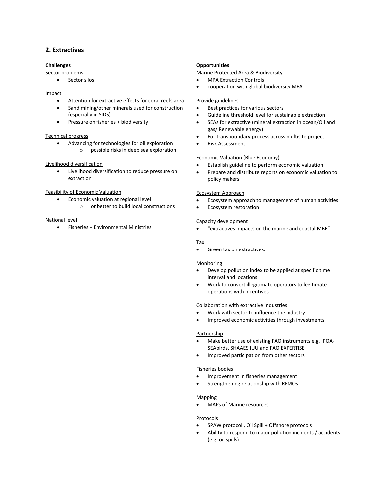### **2. Extractives**

| <b>Challenges</b>                                                                                                | <b>Opportunities</b>                                                                                                                   |  |
|------------------------------------------------------------------------------------------------------------------|----------------------------------------------------------------------------------------------------------------------------------------|--|
| Sector problems                                                                                                  | Marine Protected Area & Biodiversity                                                                                                   |  |
| Sector silos<br>$\bullet$                                                                                        | <b>MPA Extraction Controls</b><br>$\bullet$                                                                                            |  |
|                                                                                                                  | cooperation with global biodiversity MEA<br>$\bullet$                                                                                  |  |
| <b>Impact</b>                                                                                                    |                                                                                                                                        |  |
| Attention for extractive effects for coral reefs area<br>$\bullet$                                               | Provide guidelines                                                                                                                     |  |
| Sand mining/other minerals used for construction<br>$\bullet$                                                    | Best practices for various sectors<br>$\bullet$                                                                                        |  |
| (especially in SIDS)                                                                                             | Guideline threshold level for sustainable extraction<br>$\bullet$                                                                      |  |
| Pressure on fisheries + biodiversity<br>$\bullet$                                                                | SEAs for extractive (mineral extraction in ocean/Oil and<br>$\bullet$                                                                  |  |
|                                                                                                                  | gas/ Renewable energy)                                                                                                                 |  |
| <b>Technical progress</b>                                                                                        | For transboundary process across multisite project<br>$\bullet$                                                                        |  |
| Advancing for technologies for oil exploration<br>$\bullet$<br>possible risks in deep sea exploration<br>$\circ$ | <b>Risk Assessment</b><br>$\bullet$                                                                                                    |  |
| Livelihood diversification                                                                                       | <b>Economic Valuation (Blue Economy)</b>                                                                                               |  |
| $\bullet$                                                                                                        | Establish guideline to perform economic valuation<br>$\bullet$                                                                         |  |
| Livelihood diversification to reduce pressure on<br>extraction                                                   | Prepare and distribute reports on economic valuation to<br>$\bullet$                                                                   |  |
|                                                                                                                  | policy makers                                                                                                                          |  |
| <b>Feasibility of Economic Valuation</b>                                                                         | Ecosystem Approach                                                                                                                     |  |
| Economic valuation at regional level                                                                             | Ecosystem approach to management of human activities<br>$\bullet$                                                                      |  |
| or better to build local constructions<br>$\circ$                                                                | Ecosystem restoration<br>$\bullet$                                                                                                     |  |
|                                                                                                                  |                                                                                                                                        |  |
| <b>National level</b>                                                                                            | Capacity development                                                                                                                   |  |
| Fisheries + Environmental Ministries<br>$\bullet$                                                                | "extractives impacts on the marine and coastal MBE"                                                                                    |  |
|                                                                                                                  |                                                                                                                                        |  |
|                                                                                                                  | Tax                                                                                                                                    |  |
|                                                                                                                  | Green tax on extractives.                                                                                                              |  |
|                                                                                                                  |                                                                                                                                        |  |
|                                                                                                                  | Monitoring                                                                                                                             |  |
|                                                                                                                  | Develop pollution index to be applied at specific time<br>$\bullet$                                                                    |  |
|                                                                                                                  | interval and locations                                                                                                                 |  |
|                                                                                                                  | Work to convert illegitimate operators to legitimate<br>$\bullet$                                                                      |  |
|                                                                                                                  | operations with incentives                                                                                                             |  |
|                                                                                                                  |                                                                                                                                        |  |
|                                                                                                                  | Collaboration with extractive industries<br>Work with sector to influence the industry<br>$\bullet$                                    |  |
|                                                                                                                  | Improved economic activities through investments<br>$\bullet$                                                                          |  |
|                                                                                                                  |                                                                                                                                        |  |
|                                                                                                                  | Partnership                                                                                                                            |  |
|                                                                                                                  | Make better use of existing FAO instruments e.g. IPOA-                                                                                 |  |
|                                                                                                                  | SEAbirds, SHAAES IUU and FAO EXPERTISE                                                                                                 |  |
|                                                                                                                  | Improved participation from other sectors<br>$\bullet$                                                                                 |  |
|                                                                                                                  |                                                                                                                                        |  |
|                                                                                                                  | <b>Fisheries bodies</b>                                                                                                                |  |
|                                                                                                                  | Improvement in fisheries management<br>$\bullet$                                                                                       |  |
|                                                                                                                  | Strengthening relationship with RFMOs<br>$\bullet$                                                                                     |  |
|                                                                                                                  |                                                                                                                                        |  |
|                                                                                                                  | <b>Mapping</b>                                                                                                                         |  |
|                                                                                                                  | <b>MAPs of Marine resources</b><br>$\bullet$                                                                                           |  |
|                                                                                                                  |                                                                                                                                        |  |
|                                                                                                                  | <b>Protocols</b>                                                                                                                       |  |
|                                                                                                                  | SPAW protocol, Oil Spill + Offshore protocols<br>$\bullet$<br>Ability to respond to major pollution incidents / accidents<br>$\bullet$ |  |
|                                                                                                                  | (e.g. oil spills)                                                                                                                      |  |
|                                                                                                                  |                                                                                                                                        |  |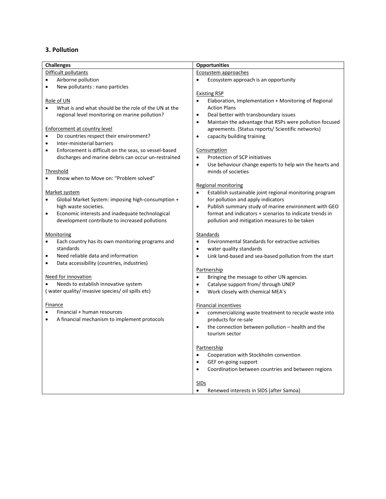### **3. Pollution**

| <b>Challenges</b>                                                           | <b>Opportunities</b>                                                 |  |
|-----------------------------------------------------------------------------|----------------------------------------------------------------------|--|
| Difficult pollutants                                                        | Ecosystem approaches                                                 |  |
| Airborne pollution<br>$\bullet$                                             | Ecosystem approach is an opportunity<br>$\bullet$                    |  |
| New pollutants : nano particles<br>٠                                        |                                                                      |  |
|                                                                             | <b>Existing RSP</b>                                                  |  |
| Role of UN                                                                  | Elaboration, Implementation + Monitoring of Regional                 |  |
| What is and what should be the role of the UN at the                        | <b>Action Plans</b>                                                  |  |
| regional level monitoring on marine pollution?                              | Deal better with transboundary issues<br>$\bullet$                   |  |
|                                                                             | Maintain the advantage that RSPs were pollution focused<br>$\bullet$ |  |
| Enforcement at country level                                                | agreements. (Status reports/ Scientific networks)                    |  |
| Do countries respect their environment?<br>$\bullet$                        | capacity building training<br>$\bullet$                              |  |
| Inter-ministerial barriers<br>$\bullet$                                     |                                                                      |  |
| Enforcement is difficult on the seas, so vessel-based<br>٠                  | Consumption                                                          |  |
| discharges and marine debris can occur un-restrained                        | Protection of SCP initiatives<br>$\bullet$                           |  |
|                                                                             | Use behaviour change experts to help win the hearts and<br>$\bullet$ |  |
| <b>Threshold</b>                                                            | minds of societies                                                   |  |
| Know when to Move on: "Problem solved"                                      |                                                                      |  |
|                                                                             | <b>Regional monitoring</b>                                           |  |
| Market system                                                               | Establish sustainable joint regional monitoring program<br>$\bullet$ |  |
| Global Market System: imposing high-consumption +                           | for pollution and apply indicators                                   |  |
| high waste societies.                                                       | Publish summary study of marine environment with GEO<br>$\bullet$    |  |
| Economic interests and inadequate technological                             | format and indicators + scenarios to indicate trends in              |  |
| $\bullet$<br>development contribute to increased pollutions                 | pollution and mitigation measures to be taken                        |  |
|                                                                             |                                                                      |  |
|                                                                             | Standards                                                            |  |
| Monitoring<br>Each country has its own monitoring programs and<br>$\bullet$ | Environmental Standards for extractive activities<br>$\bullet$       |  |
| standards                                                                   |                                                                      |  |
| Need reliable data and information<br>$\bullet$                             | water quality standards<br>$\bullet$                                 |  |
|                                                                             | Link land-based and sea-based pollution from the start<br>$\bullet$  |  |
| Data accessibility (countries, industries)<br>$\bullet$                     | Partnership                                                          |  |
|                                                                             |                                                                      |  |
| Need for innovation                                                         | Bringing the message to other UN agencies<br>$\bullet$               |  |
| Needs to establish innovative system                                        | Catalyse support from/ through UNEP<br>$\bullet$                     |  |
| (water quality/ invasive species/ oil spills etc)                           | Work closely with chemical MEA's<br>$\bullet$                        |  |
|                                                                             |                                                                      |  |
| Finance                                                                     | <b>Financial incentives</b>                                          |  |
| Financial + human resources                                                 | commercializing waste treatment to recycle waste into<br>$\bullet$   |  |
| A financial mechanism to implement protocols                                | products for re-sale                                                 |  |
|                                                                             | the connection between pollution - health and the<br>$\bullet$       |  |
|                                                                             | tourism sector                                                       |  |
|                                                                             |                                                                      |  |
|                                                                             | Partnership                                                          |  |
|                                                                             | Cooperation with Stockholm convention<br>$\bullet$                   |  |
|                                                                             | GEF on-going support<br>$\bullet$                                    |  |
|                                                                             | Coordination between countries and between regions                   |  |
|                                                                             |                                                                      |  |
|                                                                             | SIDs                                                                 |  |
|                                                                             | Renewed interests in SIDS (after Samoa)<br>$\bullet$                 |  |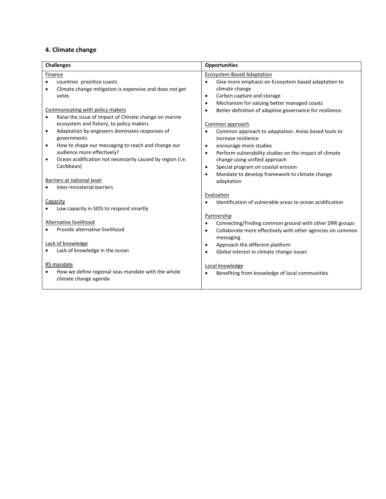## **4. Climate change**

| <b>Challenges</b>                                                                                                                                                                                                                                                                                                                                                                         | <b>Opportunities</b>                                                                                                                                                                                                                                                                                                                                                                      |  |
|-------------------------------------------------------------------------------------------------------------------------------------------------------------------------------------------------------------------------------------------------------------------------------------------------------------------------------------------------------------------------------------------|-------------------------------------------------------------------------------------------------------------------------------------------------------------------------------------------------------------------------------------------------------------------------------------------------------------------------------------------------------------------------------------------|--|
| Finance<br>countries prioritize coasts<br>$\bullet$<br>Climate change mitigation is expensive and does not get<br>votes<br>Communicating with policy makers                                                                                                                                                                                                                               | <b>Ecosystem-Based Adaptation</b><br>Give more emphasis on Ecosystem based adaptation to<br>$\bullet$<br>climate change<br>Carbon capture and storage<br>$\bullet$<br>Mechanism for valuing better managed coasts<br>$\bullet$<br>Better definition of adaptive governance for resilience.<br>$\bullet$                                                                                   |  |
| Raise the issue of impact of Climate change on marine<br>ecosystem and fishery, to policy makers<br>Adaptation by engineers dominates responses of<br>$\bullet$<br>governments<br>How to shape our messaging to reach and change our<br>$\bullet$<br>audience more effectively?<br>Ocean acidification not necessarily caused by region (i.e.<br>Caribbean)<br>Barriers at national level | Common approach<br>Common approach to adaptation. Areas based tools to<br>$\bullet$<br>increase resilience<br>encourage more studies<br>$\bullet$<br>Perform vulnerability studies on the impact of climate<br>$\bullet$<br>change using unified approach<br>Special program on coastal erosion<br>$\bullet$<br>Mandate to develop framework to climate change<br>$\bullet$<br>adaptation |  |
| Inter-ministerial barriers<br>Capacity<br>Low capacity in SIDS to respond smartly                                                                                                                                                                                                                                                                                                         | Evaluation<br>Identification of vulnerable areas to ocean acidification                                                                                                                                                                                                                                                                                                                   |  |
| Alternative livelihood<br>Provide alternative livelihood<br>Lack of knowledge<br>Lack of knowledge in the ocean                                                                                                                                                                                                                                                                           | Partnership<br>Connecting/Finding common ground with other DRR groups<br>$\bullet$<br>Collaborate more effectively with other agencies on common<br>$\bullet$<br>messaging<br>Approach the different platform<br>$\bullet$                                                                                                                                                                |  |
| RS mandate<br>How we define regional seas mandate with the whole<br>climate change agenda                                                                                                                                                                                                                                                                                                 | Global interest in climate change issues<br>$\bullet$<br>Local knowledge<br>Benefiting from knowledge of local communities                                                                                                                                                                                                                                                                |  |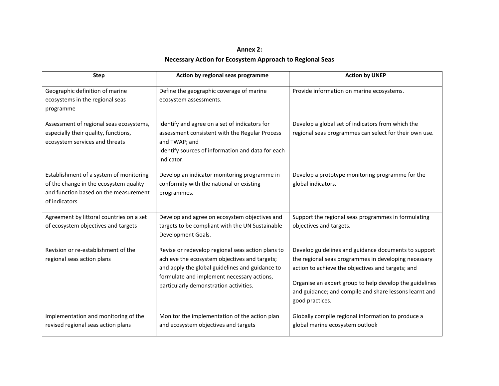## **Annex 2: Necessary Action for Ecosystem Approach to Regional Seas**

| <b>Step</b>                                                                                                                                 | Action by regional seas programme                                                                                                                                                                                                             | <b>Action by UNEP</b>                                                                                                                                                                                                                                                                                     |
|---------------------------------------------------------------------------------------------------------------------------------------------|-----------------------------------------------------------------------------------------------------------------------------------------------------------------------------------------------------------------------------------------------|-----------------------------------------------------------------------------------------------------------------------------------------------------------------------------------------------------------------------------------------------------------------------------------------------------------|
| Geographic definition of marine<br>ecosystems in the regional seas<br>programme                                                             | Define the geographic coverage of marine<br>ecosystem assessments.                                                                                                                                                                            | Provide information on marine ecosystems.                                                                                                                                                                                                                                                                 |
| Assessment of regional seas ecosystems,<br>especially their quality, functions,<br>ecosystem services and threats                           | Identify and agree on a set of indicators for<br>assessment consistent with the Regular Process<br>and TWAP; and<br>Identify sources of information and data for each<br>indicator.                                                           | Develop a global set of indicators from which the<br>regional seas programmes can select for their own use.                                                                                                                                                                                               |
| Establishment of a system of monitoring<br>of the change in the ecosystem quality<br>and function based on the measurement<br>of indicators | Develop an indicator monitoring programme in<br>conformity with the national or existing<br>programmes.                                                                                                                                       | Develop a prototype monitoring programme for the<br>global indicators.                                                                                                                                                                                                                                    |
| Agreement by littoral countries on a set<br>of ecosystem objectives and targets                                                             | Develop and agree on ecosystem objectives and<br>targets to be compliant with the UN Sustainable<br>Development Goals.                                                                                                                        | Support the regional seas programmes in formulating<br>objectives and targets.                                                                                                                                                                                                                            |
| Revision or re-establishment of the<br>regional seas action plans                                                                           | Revise or redevelop regional seas action plans to<br>achieve the ecosystem objectives and targets;<br>and apply the global guidelines and guidance to<br>formulate and implement necessary actions,<br>particularly demonstration activities. | Develop guidelines and guidance documents to support<br>the regional seas programmes in developing necessary<br>action to achieve the objectives and targets; and<br>Organise an expert group to help develop the guidelines<br>and guidance; and compile and share lessons learnt and<br>good practices. |
| Implementation and monitoring of the<br>revised regional seas action plans                                                                  | Monitor the implementation of the action plan<br>and ecosystem objectives and targets                                                                                                                                                         | Globally compile regional information to produce a<br>global marine ecosystem outlook                                                                                                                                                                                                                     |